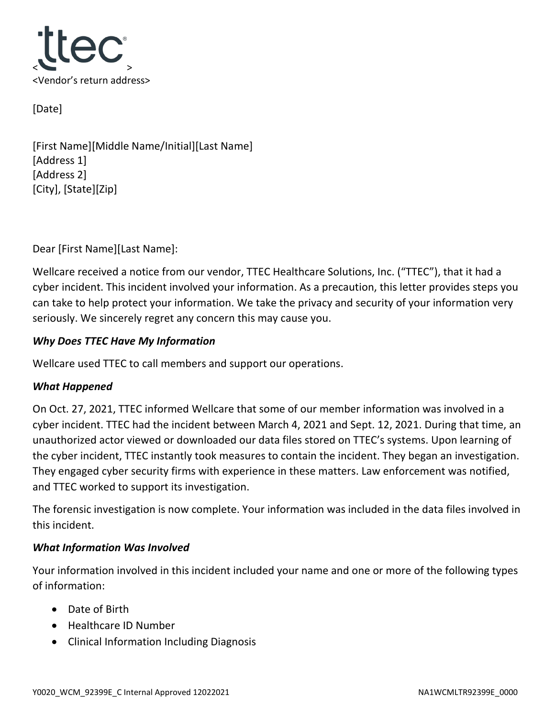

[Date]

[First Name][Middle Name/Initial][Last Name] [Address 1] [Address 2] [City], [State][Zip]

Dear [First Name][Last Name]:

Wellcare received a notice from our vendor, TTEC Healthcare Solutions, Inc. ("TTEC"), that it had a cyber incident. This incident involved your information. As a precaution, this letter provides steps you can take to help protect your information. We take the privacy and security of your information very seriously. We sincerely regret any concern this may cause you.

# *Why Does TTEC Have My Information*

Wellcare used TTEC to call members and support our operations.

# *What Happened*

On Oct. 27, 2021, TTEC informed Wellcare that some of our member information was involved in a cyber incident. TTEC had the incident between March 4, 2021 and Sept. 12, 2021. During that time, an unauthorized actor viewed or downloaded our data files stored on TTEC's systems. Upon learning of the cyber incident, TTEC instantly took measures to contain the incident. They began an investigation. They engaged cyber security firms with experience in these matters. Law enforcement was notified, and TTEC worked to support its investigation.

The forensic investigation is now complete. Your information was included in the data files involved in this incident.

# *What Information Was Involved*

Your information involved in this incident included your name and one or more of the following types of information:

- Date of Birth
- Healthcare ID Number
- Clinical Information Including Diagnosis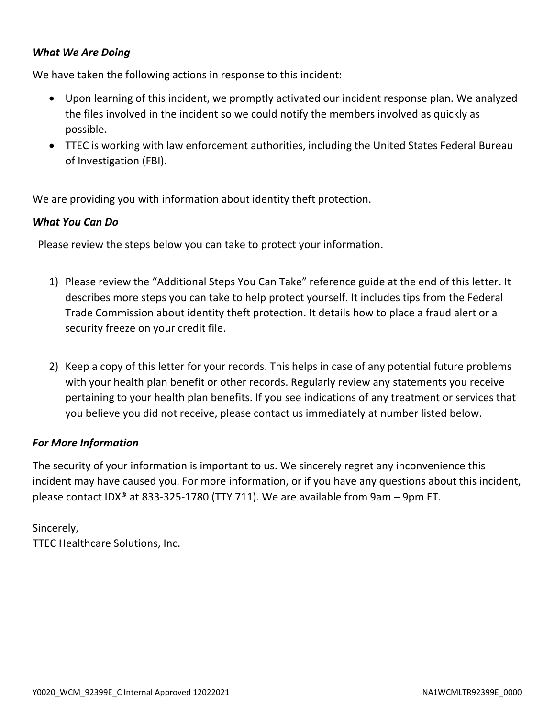## *What We Are Doing*

We have taken the following actions in response to this incident:

- Upon learning of this incident, we promptly activated our incident response plan. We analyzed the files involved in the incident so we could notify the members involved as quickly as possible.
- TTEC is working with law enforcement authorities, including the United States Federal Bureau of Investigation (FBI).

We are providing you with information about identity theft protection.

#### *What You Can Do*

Please review the steps below you can take to protect your information.

- 1) Please review the "Additional Steps You Can Take" reference guide at the end of this letter. It describes more steps you can take to help protect yourself. It includes tips from the Federal Trade Commission about identity theft protection. It details how to place a fraud alert or a security freeze on your credit file.
- 2) Keep a copy of this letter for your records. This helps in case of any potential future problems with your health plan benefit or other records. Regularly review any statements you receive pertaining to your health plan benefits. If you see indications of any treatment or services that you believe you did not receive, please contact us immediately at number listed below.

#### *For More Information*

The security of your information is important to us. We sincerely regret any inconvenience this incident may have caused you. For more information, or if you have any questions about this incident, please contact IDX® at 833-325-1780 (TTY 711). We are available from 9am – 9pm ET.

Sincerely, TTEC Healthcare Solutions, Inc.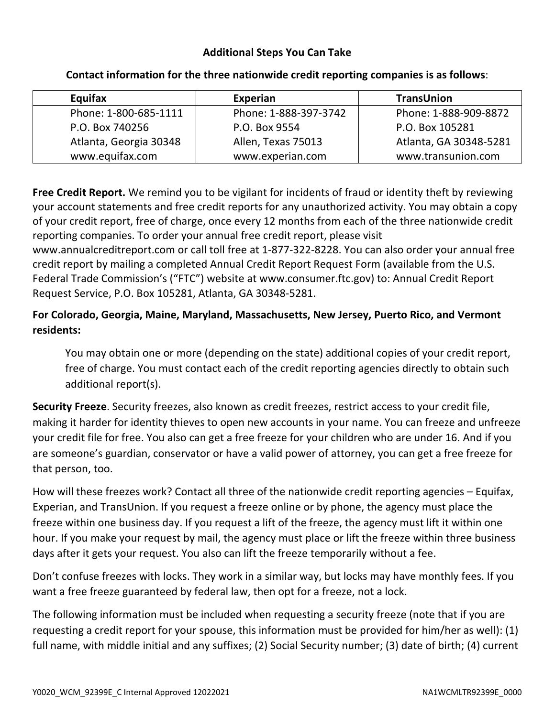# **Additional Steps You Can Take**

| Equifax                | Experian              | <b>TransUnion</b>      |
|------------------------|-----------------------|------------------------|
| Phone: 1-800-685-1111  | Phone: 1-888-397-3742 | Phone: 1-888-909-8872  |
| P.O. Box 740256        | P.O. Box 9554         | P.O. Box 105281        |
| Atlanta, Georgia 30348 | Allen, Texas 75013    | Atlanta, GA 30348-5281 |
| www.equifax.com        | www.experian.com      | www.transunion.com     |

### **Contact information for the three nationwide credit reporting companies is as follows**:

**Free Credit Report.** We remind you to be vigilant for incidents of fraud or identity theft by reviewing your account statements and free credit reports for any unauthorized activity. You may obtain a copy of your credit report, free of charge, once every 12 months from each of the three nationwide credit reporting companies. To order your annual free credit report, please visit

www.annualcreditreport.com or call toll free at 1-877-322-8228. You can also order your annual free credit report by mailing a completed Annual Credit Report Request Form (available from the U.S. Federal Trade Commission's ("FTC") website at www.consumer.ftc.gov) to: Annual Credit Report Request Service, P.O. Box 105281, Atlanta, GA 30348-5281.

# **For Colorado, Georgia, Maine, Maryland, Massachusetts, New Jersey, Puerto Rico, and Vermont residents:**

You may obtain one or more (depending on the state) additional copies of your credit report, free of charge. You must contact each of the credit reporting agencies directly to obtain such additional report(s).

**Security Freeze**. Security freezes, also known as credit freezes, restrict access to your credit file, making it harder for identity thieves to open new accounts in your name. You can freeze and unfreeze your credit file for free. You also can get a free freeze for your children who are under 16. And if you are someone's guardian, conservator or have a valid power of attorney, you can get a free freeze for that person, too.

How will these freezes work? Contact all three of the nationwide credit reporting agencies – Equifax, Experian, and TransUnion. If you request a freeze online or by phone, the agency must place the freeze within one business day. If you request a lift of the freeze, the agency must lift it within one hour. If you make your request by mail, the agency must place or lift the freeze within three business days after it gets your request. You also can lift the freeze temporarily without a fee.

Don't confuse freezes with locks. They work in a similar way, but locks may have monthly fees. If you want a free freeze guaranteed by federal law, then opt for a freeze, not a lock.

The following information must be included when requesting a security freeze (note that if you are requesting a credit report for your spouse, this information must be provided for him/her as well): (1) full name, with middle initial and any suffixes; (2) Social Security number; (3) date of birth; (4) current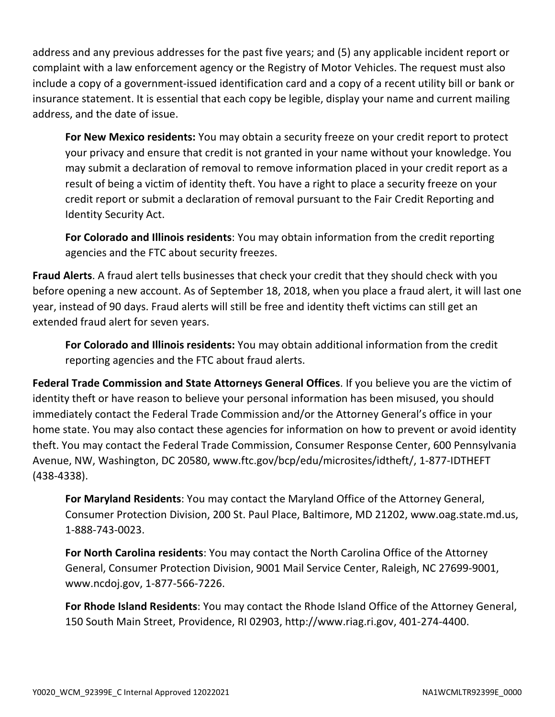address and any previous addresses for the past five years; and (5) any applicable incident report or complaint with a law enforcement agency or the Registry of Motor Vehicles. The request must also include a copy of a government-issued identification card and a copy of a recent utility bill or bank or insurance statement. It is essential that each copy be legible, display your name and current mailing address, and the date of issue.

**For New Mexico residents:** You may obtain a security freeze on your credit report to protect your privacy and ensure that credit is not granted in your name without your knowledge. You may submit a declaration of removal to remove information placed in your credit report as a result of being a victim of identity theft. You have a right to place a security freeze on your credit report or submit a declaration of removal pursuant to the Fair Credit Reporting and Identity Security Act.

**For Colorado and Illinois residents**: You may obtain information from the credit reporting agencies and the FTC about security freezes.

**Fraud Alerts**. A fraud alert tells businesses that check your credit that they should check with you before opening a new account. As of September 18, 2018, when you place a fraud alert, it will last one year, instead of 90 days. Fraud alerts will still be free and identity theft victims can still get an extended fraud alert for seven years.

**For Colorado and Illinois residents:** You may obtain additional information from the credit reporting agencies and the FTC about fraud alerts.

**Federal Trade Commission and State Attorneys General Offices**. If you believe you are the victim of identity theft or have reason to believe your personal information has been misused, you should immediately contact the Federal Trade Commission and/or the Attorney General's office in your home state. You may also contact these agencies for information on how to prevent or avoid identity theft. You may contact the Federal Trade Commission, Consumer Response Center, 600 Pennsylvania Avenue, NW, Washington, DC 20580, www.ftc.gov/bcp/edu/microsites/idtheft/, 1-877-IDTHEFT (438-4338).

**For Maryland Residents**: You may contact the Maryland Office of the Attorney General, Consumer Protection Division, 200 St. Paul Place, Baltimore, MD 21202, www.oag.state.md.us, 1-888-743-0023.

**For North Carolina residents**: You may contact the North Carolina Office of the Attorney General, Consumer Protection Division, 9001 Mail Service Center, Raleigh, NC 27699-9001, www.ncdoj.gov, 1-877-566-7226.

**For Rhode Island Residents**: You may contact the Rhode Island Office of the Attorney General, 150 South Main Street, Providence, RI 02903, http://www.riag.ri.gov, 401-274-4400.